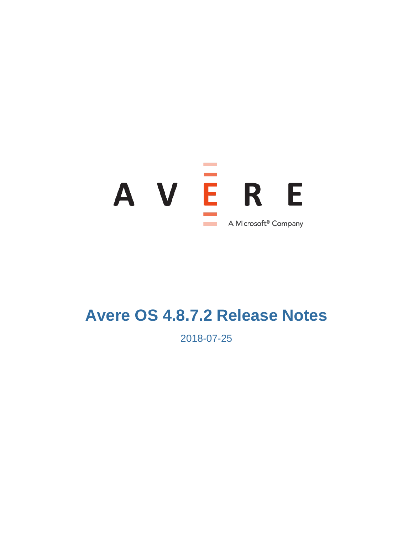

# **Avere OS 4.8.7.2 Release Notes**

2018-07-25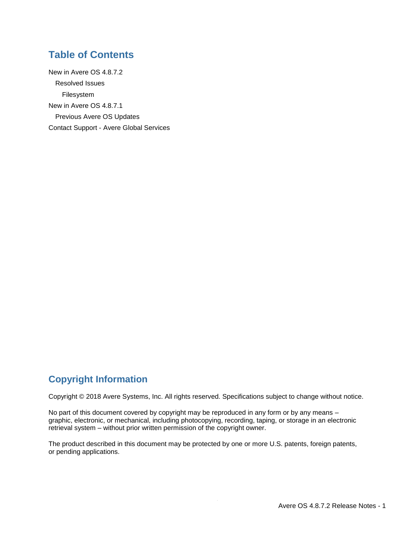### **Table of Contents**

[New in Avere OS 4.8.7.2](#page-2-0) [Resolved Issues](#page-2-1) [Filesystem](#page-2-2) [New in Avere OS 4.8.7.1](#page-3-0) [Previous Avere OS Updates](#page-5-0) Contact Support - [Avere Global Services](#page-5-1)

### **Copyright Information**

Copyright © 2018 Avere Systems, Inc. All rights reserved. Specifications subject to change without notice.

No part of this document covered by copyright may be reproduced in any form or by any means – graphic, electronic, or mechanical, including photocopying, recording, taping, or storage in an electronic retrieval system – without prior written permission of the copyright owner.

The product described in this document may be protected by one or more U.S. patents, foreign patents, or pending applications.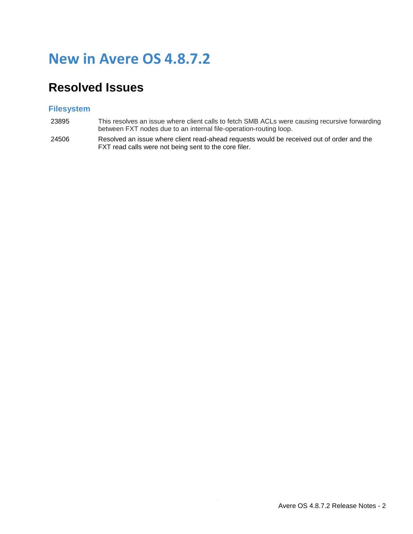# <span id="page-2-0"></span>**New in Avere OS 4.8.7.2**

## <span id="page-2-1"></span>**Resolved Issues**

#### <span id="page-2-2"></span>**Filesystem**

- 23895 This resolves an issue where client calls to fetch SMB ACLs were causing recursive forwarding between FXT nodes due to an internal file-operation-routing loop.
- 24506 Resolved an issue where client read-ahead requests would be received out of order and the FXT read calls were not being sent to the core filer.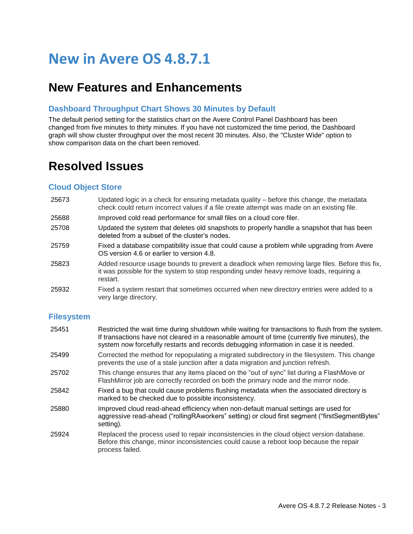# <span id="page-3-0"></span>**New in Avere OS 4.8.7.1**

### **New Features and Enhancements**

#### **Dashboard Throughput Chart Shows 30 Minutes by Default**

The default period setting for the statistics chart on the Avere Control Panel Dashboard has been changed from five minutes to thirty minutes. If you have not customized the time period, the Dashboard graph will show cluster throughput over the most recent 30 minutes. Also, the "Cluster Wide" option to show comparison data on the chart been removed.

### **Resolved Issues**

#### **Cloud Object Store**

- 25673 Updated logic in a check for ensuring metadata quality before this change, the metadata check could return incorrect values if a file create attempt was made on an existing file.
- 25688 Improved cold read performance for small files on a cloud core filer.
- 25708 Updated the system that deletes old snapshots to properly handle a snapshot that has been deleted from a subset of the cluster's nodes.
- 25759 Fixed a database compatibility issue that could cause a problem while upgrading from Avere OS version 4.6 or earlier to version 4.8.
- 25823 Added resource usage bounds to prevent a deadlock when removing large files. Before this fix, it was possible for the system to stop responding under heavy remove loads, requiring a restart.
- 25932 Fixed a system restart that sometimes occurred when new directory entries were added to a very large directory.

#### **Filesystem**

| 25451 | Restricted the wait time during shutdown while waiting for transactions to flush from the system.<br>If transactions have not cleared in a reasonable amount of time (currently five minutes), the<br>system now forcefully restarts and records debugging information in case it is needed. |
|-------|----------------------------------------------------------------------------------------------------------------------------------------------------------------------------------------------------------------------------------------------------------------------------------------------|
| 25499 | Corrected the method for repopulating a migrated subdirectory in the filesystem. This change<br>prevents the use of a stale junction after a data migration and junction refresh.                                                                                                            |
| 25702 | This change ensures that any items placed on the "out of sync" list during a FlashMove or<br>FlashMirror job are correctly recorded on both the primary node and the mirror node.                                                                                                            |
| 25842 | Fixed a bug that could cause problems flushing metadata when the associated directory is<br>marked to be checked due to possible inconsistency.                                                                                                                                              |
| 25880 | Improved cloud read-ahead efficiency when non-default manual settings are used for<br>aggressive read-ahead ("rollingRAworkers" setting) or cloud first segment ("firstSegmentBytes"<br>setting).                                                                                            |
| 25924 | Replaced the process used to repair inconsistencies in the cloud object version database.<br>Before this change, minor inconsistencies could cause a reboot loop because the repair<br>process failed.                                                                                       |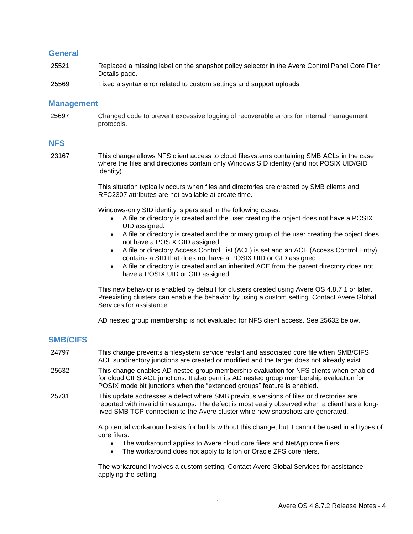#### **General**

- 25521 Replaced a missing label on the snapshot policy selector in the Avere Control Panel Core Filer Details page.
- 25569 Fixed a syntax error related to custom settings and support uploads.

#### **Management**

25697 Changed code to prevent excessive logging of recoverable errors for internal management protocols.

#### **NFS**

23167 This change allows NFS client access to cloud filesystems containing SMB ACLs in the case where the files and directories contain only Windows SID identity (and not POSIX UID/GID identity).

> This situation typically occurs when files and directories are created by SMB clients and RFC2307 attributes are not available at create time.

Windows-only SID identity is persisted in the following cases:

- A file or directory is created and the user creating the object does not have a POSIX UID assigned.
- A file or directory is created and the primary group of the user creating the object does not have a POSIX GID assigned.
- A file or directory Access Control List (ACL) is set and an ACE (Access Control Entry) contains a SID that does not have a POSIX UID or GID assigned.
- A file or directory is created and an inherited ACE from the parent directory does not have a POSIX UID or GID assigned.

This new behavior is enabled by default for clusters created using Avere OS 4.8.7.1 or later. Preexisting clusters can enable the behavior by using a custom setting. Contact Avere Global Services for assistance.

AD nested group membership is not evaluated for NFS client access. See 25632 below.

#### **SMB/CIFS**

- 24797 This change prevents a filesystem service restart and associated core file when SMB/CIFS ACL subdirectory junctions are created or modified and the target does not already exist.
- 25632 This change enables AD nested group membership evaluation for NFS clients when enabled for cloud CIFS ACL junctions. It also permits AD nested group membership evaluation for POSIX mode bit junctions when the "extended groups" feature is enabled.
- 25731 This update addresses a defect where SMB previous versions of files or directories are reported with invalid timestamps. The defect is most easily observed when a client has a longlived SMB TCP connection to the Avere cluster while new snapshots are generated.

A potential workaround exists for builds without this change, but it cannot be used in all types of core filers:

- The workaround applies to Avere cloud core filers and NetApp core filers.
- The workaround does not apply to Isilon or Oracle ZFS core filers.

The workaround involves a custom setting. Contact Avere Global Services for assistance applying the setting.